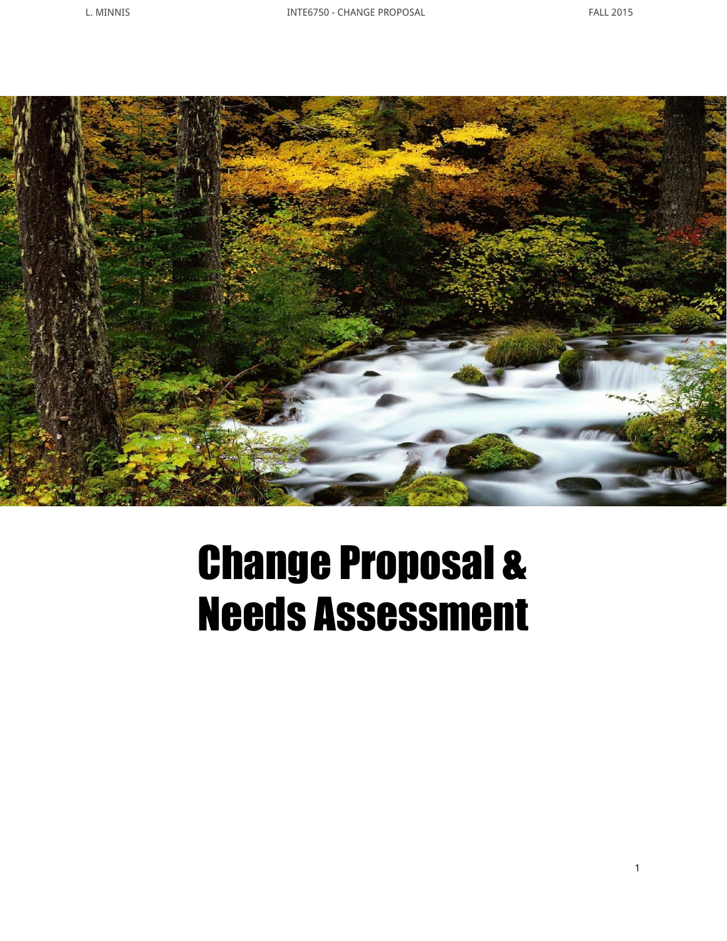

# Change Proposal & Needs Assessment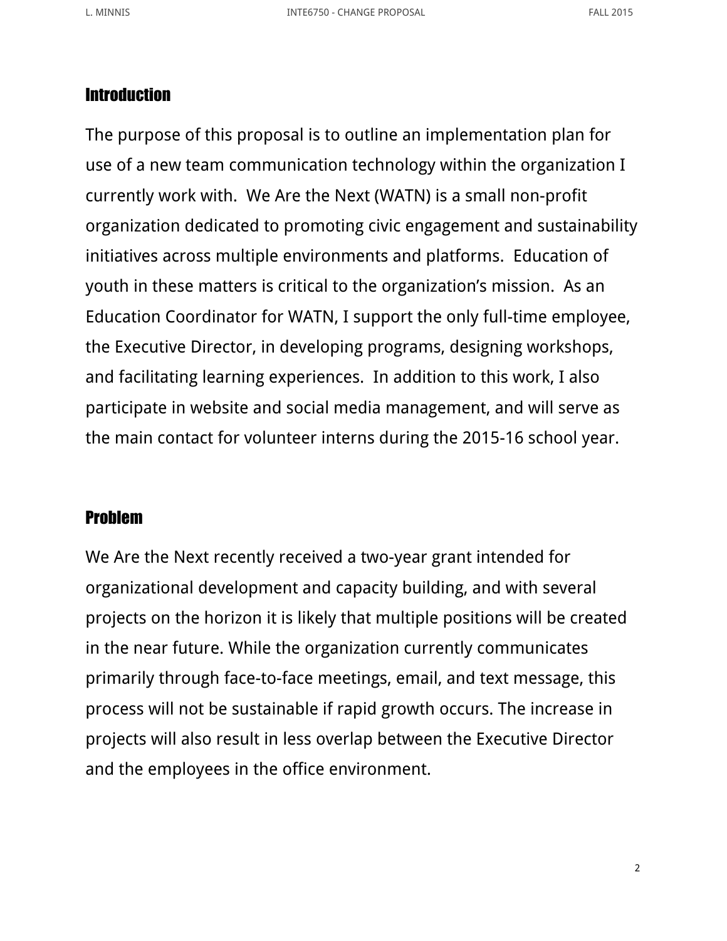## **Introduction**

The purpose of this proposal is to outline an implementation plan for use of a new team communication technology within the organization I currently work with. We Are the Next (WATN) is a small non-profit organization dedicated to promoting civic engagement and sustainability initiatives across multiple environments and platforms. Education of youth in these matters is critical to the organization's mission. As an Education Coordinator for WATN, I support the only full-time employee, the Executive Director, in developing programs, designing workshops, and facilitating learning experiences. In addition to this work, I also participate in website and social media management, and will serve as the main contact for volunteer interns during the 2015-16 school year.

#### Problem

We Are the Next recently received a two-year grant intended for organizational development and capacity building, and with several projects on the horizon it is likely that multiple positions will be created in the near future. While the organization currently communicates primarily through face-to-face meetings, email, and text message, this process will not be sustainable if rapid growth occurs. The increase in projects will also result in less overlap between the Executive Director and the employees in the office environment.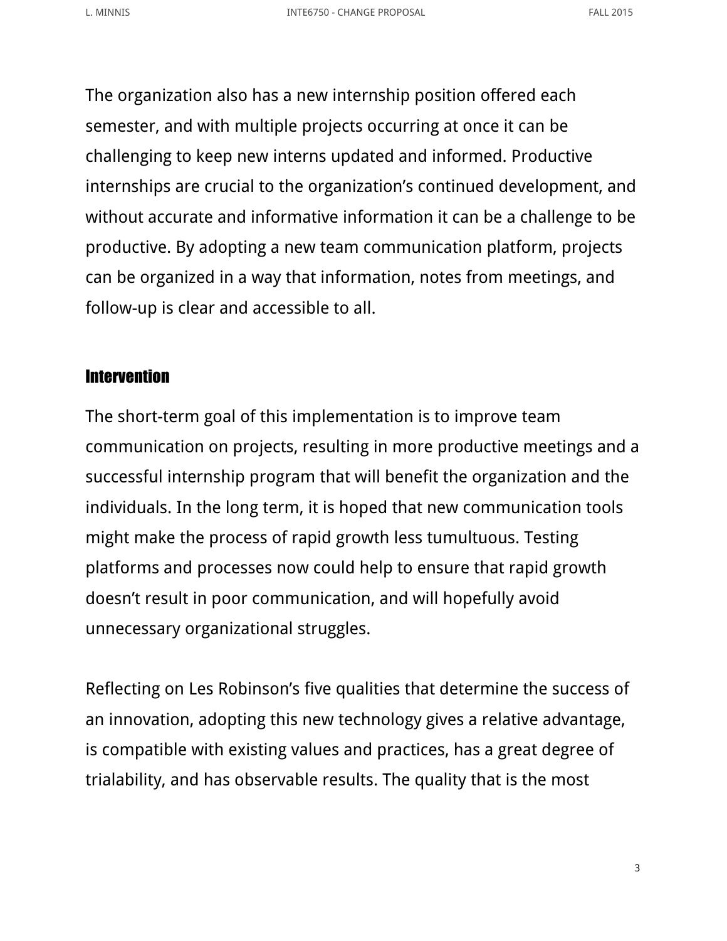The organization also has a new internship position offered each semester, and with multiple projects occurring at once it can be challenging to keep new interns updated and informed. Productive internships are crucial to the organization's continued development, and without accurate and informative information it can be a challenge to be productive. By adopting a new team communication platform, projects can be organized in a way that information, notes from meetings, and follow-up is clear and accessible to all.

### **Intervention**

The short-term goal of this implementation is to improve team communication on projects, resulting in more productive meetings and a successful internship program that will benefit the organization and the individuals. In the long term, it is hoped that new communication tools might make the process of rapid growth less tumultuous. Testing platforms and processes now could help to ensure that rapid growth doesn't result in poor communication, and will hopefully avoid unnecessary organizational struggles.

Reflecting on Les Robinson's five qualities that determine the success of an innovation, adopting this new technology gives a relative advantage, is compatible with existing values and practices, has a great degree of trialability, and has observable results. The quality that is the most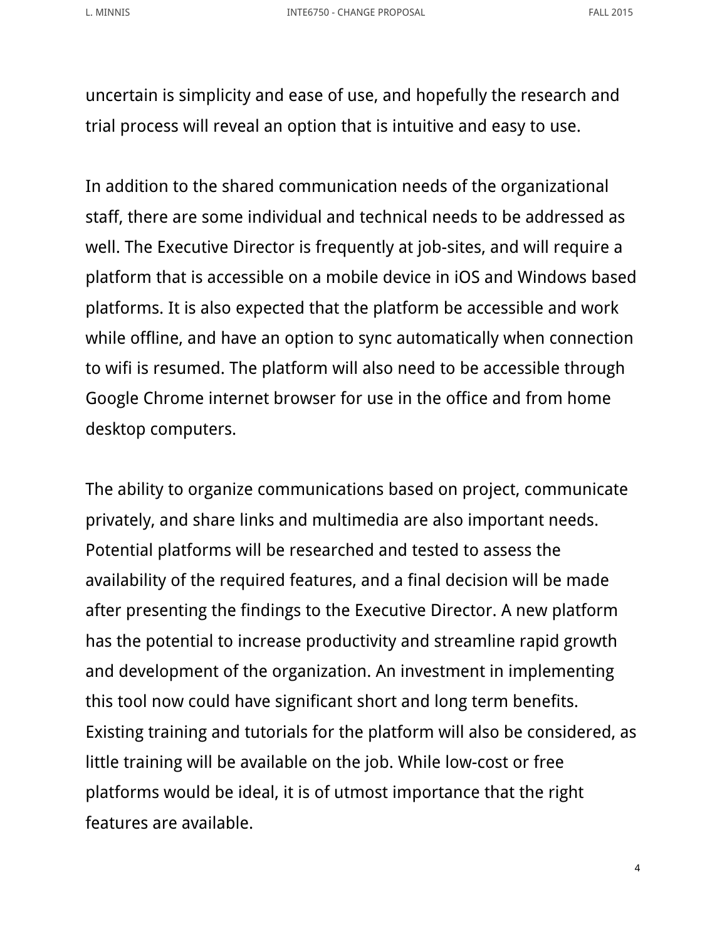uncertain is simplicity and ease of use, and hopefully the research and trial process will reveal an option that is intuitive and easy to use.

In addition to the shared communication needs of the organizational staff, there are some individual and technical needs to be addressed as well. The Executive Director is frequently at job-sites, and will require a platform that is accessible on a mobile device in iOS and Windows based platforms. It is also expected that the platform be accessible and work while offline, and have an option to sync automatically when connection to wifi is resumed. The platform will also need to be accessible through Google Chrome internet browser for use in the office and from home desktop computers.

The ability to organize communications based on project, communicate privately, and share links and multimedia are also important needs. Potential platforms will be researched and tested to assess the availability of the required features, and a final decision will be made after presenting the findings to the Executive Director. A new platform has the potential to increase productivity and streamline rapid growth and development of the organization. An investment in implementing this tool now could have significant short and long term benefits. Existing training and tutorials for the platform will also be considered, as little training will be available on the job. While low-cost or free platforms would be ideal, it is of utmost importance that the right features are available.